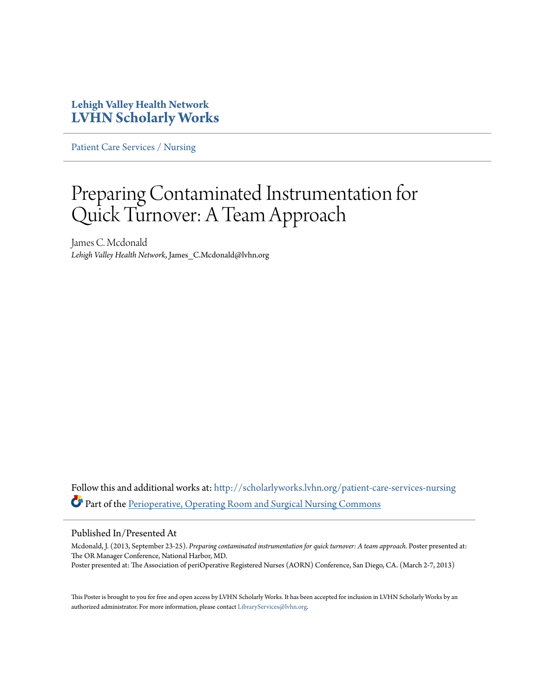### **Lehigh Valley Health Network [LVHN Scholarly Works](http://scholarlyworks.lvhn.org?utm_source=scholarlyworks.lvhn.org%2Fpatient-care-services-nursing%2F275&utm_medium=PDF&utm_campaign=PDFCoverPages)**

[Patient Care Services / Nursing](http://scholarlyworks.lvhn.org/patient-care-services-nursing?utm_source=scholarlyworks.lvhn.org%2Fpatient-care-services-nursing%2F275&utm_medium=PDF&utm_campaign=PDFCoverPages)

### Preparing Contaminated Instrumentation for Quick Turnover: A Team Approach

James C. Mcdonald *Lehigh Valley Health Network*, James\_C.Mcdonald@lvhn.org

Follow this and additional works at: [http://scholarlyworks.lvhn.org/patient-care-services-nursing](http://scholarlyworks.lvhn.org/patient-care-services-nursing?utm_source=scholarlyworks.lvhn.org%2Fpatient-care-services-nursing%2F275&utm_medium=PDF&utm_campaign=PDFCoverPages) Part of the [Perioperative, Operating Room and Surgical Nursing Commons](http://network.bepress.com/hgg/discipline/726?utm_source=scholarlyworks.lvhn.org%2Fpatient-care-services-nursing%2F275&utm_medium=PDF&utm_campaign=PDFCoverPages)

### Published In/Presented At

Mcdonald, J. (2013, September 23-25). *Preparing contaminated instrumentation for quick turnover: A team approach.* Poster presented at: The OR Manager Conference, National Harbor, MD. Poster presented at: The Association of periOperative Registered Nurses (AORN) Conference, San Diego, CA. (March 2-7, 2013)

This Poster is brought to you for free and open access by LVHN Scholarly Works. It has been accepted for inclusion in LVHN Scholarly Works by an authorized administrator. For more information, please contact [LibraryServices@lvhn.org.](mailto:LibraryServices@lvhn.org)